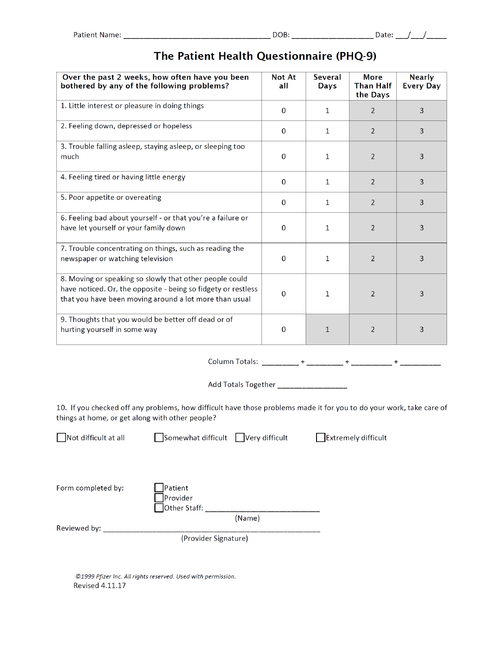| Over the past 2 weeks, how often have you been<br>bothered by any of the following problems?                                                                                       | <b>Not At</b><br>all | <b>Several</b><br>Days | <b>More</b><br><b>Than Half</b><br>the Days | <b>Nearly</b><br><b>Every Day</b> |
|------------------------------------------------------------------------------------------------------------------------------------------------------------------------------------|----------------------|------------------------|---------------------------------------------|-----------------------------------|
| 1. Little interest or pleasure in doing things                                                                                                                                     | $\Omega$             | 1                      | $\overline{2}$                              | 3                                 |
| 2. Feeling down, depressed or hopeless                                                                                                                                             | $\Omega$             | $\mathbf{1}$           | $\overline{2}$                              | 3                                 |
| 3. Trouble falling asleep, staying asleep, or sleeping too<br>much                                                                                                                 | $\mathbf{0}$         | $\mathbf{1}$           | $\overline{2}$                              | 3                                 |
| 4. Feeling tired or having little energy                                                                                                                                           | $\Omega$             | 1                      | $\overline{2}$                              | 3                                 |
| 5. Poor appetite or overeating                                                                                                                                                     | $\Omega$             | $\mathbf{1}$           | $\overline{2}$                              | 3                                 |
| 6. Feeling bad about yourself - or that you're a failure or<br>have let yourself or your family down                                                                               | $\bf{0}$             | 1                      | $\overline{2}$                              | 3                                 |
| 7. Trouble concentrating on things, such as reading the<br>newspaper or watching television                                                                                        | $\Omega$             | $\mathbf{1}$           | $\overline{2}$                              | 3                                 |
| 8. Moving or speaking so slowly that other people could<br>have noticed. Or, the opposite - being so fidgety or restless<br>that you have been moving around a lot more than usual | $\Omega$             | 1                      | $\overline{2}$                              | 3                                 |
| 9. Thoughts that you would be better off dead or of<br>hurting yourself in some way                                                                                                | $\Omega$             | $\mathbf{1}$           | $\overline{2}$                              | 3                                 |

## The Patient Health Questionnaire (PHQ-9)

Add Totals Together \_\_\_\_\_\_\_\_\_\_\_\_\_\_\_\_\_\_\_

10. If you checked off any problems, how difficult have those problems made it for you to do your work, take care of things at home, or get along with other people?

Not difficult at all

Somewhat difficult Very difficult Extremely difficult

Form completed by:

Patient Provider

(Name)

Reviewed by: \_\_\_\_\_\_\_\_\_\_\_\_

(Provider Signature)

©1999 Pfizer Inc. All rights reserved. Used with permission. **Revised 4.11.17**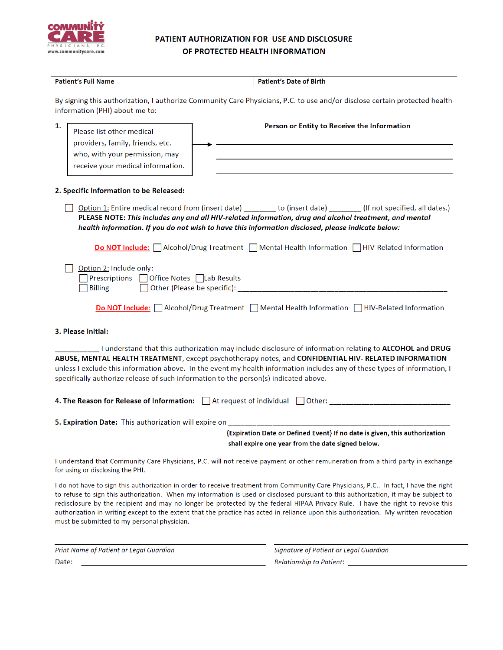

### PATIENT AUTHORIZATION FOR USE AND DISCLOSURE OF PROTECTED HEALTH INFORMATION

| <b>Patient's Full Name</b>                                                                                                                 | <b>Patient's Date of Birth</b>                                                                                                                                                                                                                                                                                                                                                                                                                                                                                                                                                                                                                                                                                                      |
|--------------------------------------------------------------------------------------------------------------------------------------------|-------------------------------------------------------------------------------------------------------------------------------------------------------------------------------------------------------------------------------------------------------------------------------------------------------------------------------------------------------------------------------------------------------------------------------------------------------------------------------------------------------------------------------------------------------------------------------------------------------------------------------------------------------------------------------------------------------------------------------------|
| information (PHI) about me to:                                                                                                             | By signing this authorization, I authorize Community Care Physicians, P.C. to use and/or disclose certain protected health                                                                                                                                                                                                                                                                                                                                                                                                                                                                                                                                                                                                          |
| 1.<br>Please list other medical<br>providers, family, friends, etc.<br>who, with your permission, may<br>receive your medical information. | Person or Entity to Receive the Information                                                                                                                                                                                                                                                                                                                                                                                                                                                                                                                                                                                                                                                                                         |
| 2. Specific Information to be Released:                                                                                                    |                                                                                                                                                                                                                                                                                                                                                                                                                                                                                                                                                                                                                                                                                                                                     |
|                                                                                                                                            | Option 1: Entire medical record from (insert date) ______ to (insert date) _______ (If not specified, all dates.)<br>PLEASE NOTE: This includes any and all HIV-related information, drug and alcohol treatment, and mental<br>health information. If you do not wish to have this information disclosed, please indicate below:                                                                                                                                                                                                                                                                                                                                                                                                    |
|                                                                                                                                            | <b>Do NOT Include:</b> Alcohol/Drug Treatment Mental Health Information HIV-Related Information                                                                                                                                                                                                                                                                                                                                                                                                                                                                                                                                                                                                                                     |
| Option 2: Include only:<br>Prescriptions   Office Notes   Lab Results<br><b>Billing</b>                                                    |                                                                                                                                                                                                                                                                                                                                                                                                                                                                                                                                                                                                                                                                                                                                     |
|                                                                                                                                            | <b>Do NOT Include:</b> Alcohol/Drug Treatment Mental Health Information HIV-Related Information                                                                                                                                                                                                                                                                                                                                                                                                                                                                                                                                                                                                                                     |
| 3. Please Initial:                                                                                                                         |                                                                                                                                                                                                                                                                                                                                                                                                                                                                                                                                                                                                                                                                                                                                     |
| specifically authorize release of such information to the person(s) indicated above.                                                       | I understand that this authorization may include disclosure of information relating to ALCOHOL and DRUG<br>ABUSE, MENTAL HEALTH TREATMENT, except psychotherapy notes, and CONFIDENTIAL HIV- RELATED INFORMATION<br>unless I exclude this information above. In the event my health information includes any of these types of information, I                                                                                                                                                                                                                                                                                                                                                                                       |
| 4. The Reason for Release of Information: $\Box$ At request of individual $\Box$ Other:                                                    |                                                                                                                                                                                                                                                                                                                                                                                                                                                                                                                                                                                                                                                                                                                                     |
|                                                                                                                                            |                                                                                                                                                                                                                                                                                                                                                                                                                                                                                                                                                                                                                                                                                                                                     |
|                                                                                                                                            |                                                                                                                                                                                                                                                                                                                                                                                                                                                                                                                                                                                                                                                                                                                                     |
|                                                                                                                                            | {Expiration Date or Defined Event} If no date is given, this authorization<br>shall expire one year from the date signed below.                                                                                                                                                                                                                                                                                                                                                                                                                                                                                                                                                                                                     |
|                                                                                                                                            |                                                                                                                                                                                                                                                                                                                                                                                                                                                                                                                                                                                                                                                                                                                                     |
|                                                                                                                                            |                                                                                                                                                                                                                                                                                                                                                                                                                                                                                                                                                                                                                                                                                                                                     |
| for using or disclosing the PHI.<br>must be submitted to my personal physician.<br>Print Name of Patient or Legal Guardian                 | I understand that Community Care Physicians, P.C. will not receive payment or other remuneration from a third party in exchange<br>I do not have to sign this authorization in order to receive treatment from Community Care Physicians, P.C In fact, I have the right<br>to refuse to sign this authorization. When my information is used or disclosed pursuant to this authorization, it may be subject to<br>redisclosure by the recipient and may no longer be protected by the federal HIPAA Privacy Rule. I have the right to revoke this<br>authorization in writing except to the extent that the practice has acted in reliance upon this authorization. My written revocation<br>Signature of Patient or Legal Guardian |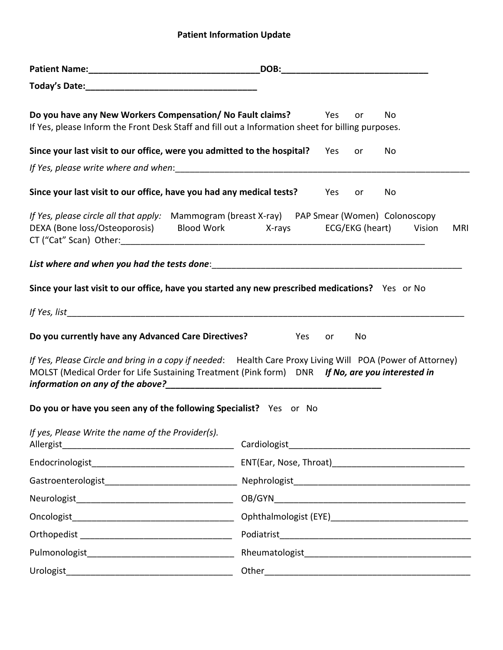# **Patient Information Update**

|                                                                             | DOB:                                                                                                                                                                                                          |
|-----------------------------------------------------------------------------|---------------------------------------------------------------------------------------------------------------------------------------------------------------------------------------------------------------|
|                                                                             |                                                                                                                                                                                                               |
| Do you have any New Workers Compensation/ No Fault claims? These Mess       | No<br>or<br>If Yes, please Inform the Front Desk Staff and fill out a Information sheet for billing purposes.                                                                                                 |
| Since your last visit to our office, were you admitted to the hospital? Yes | No<br>or                                                                                                                                                                                                      |
|                                                                             |                                                                                                                                                                                                               |
| Since your last visit to our office, have you had any medical tests?        | Yes<br>No<br>or                                                                                                                                                                                               |
| DEXA (Bone loss/Osteoporosis) Blood Work X-rays                             | If Yes, please circle all that apply: Mammogram (breast X-ray) PAP Smear (Women) Colonoscopy<br>ECG/EKG (heart) Vision<br>MRI                                                                                 |
|                                                                             |                                                                                                                                                                                                               |
|                                                                             | Since your last visit to our office, have you started any new prescribed medications? Yes or No                                                                                                               |
|                                                                             |                                                                                                                                                                                                               |
| Do you currently have any Advanced Care Directives?                         | Yes<br>No<br>or                                                                                                                                                                                               |
|                                                                             | If Yes, Please Circle and bring in a copy if needed: Health Care Proxy Living Will POA (Power of Attorney)<br>MOLST (Medical Order for Life Sustaining Treatment (Pink form) DNR If No, are you interested in |
| Do you or have you seen any of the following Specialist? Yes or No          |                                                                                                                                                                                                               |
| If yes, Please Write the name of the Provider(s).                           |                                                                                                                                                                                                               |
|                                                                             |                                                                                                                                                                                                               |
|                                                                             |                                                                                                                                                                                                               |
|                                                                             |                                                                                                                                                                                                               |
|                                                                             |                                                                                                                                                                                                               |
|                                                                             |                                                                                                                                                                                                               |
|                                                                             |                                                                                                                                                                                                               |
|                                                                             |                                                                                                                                                                                                               |